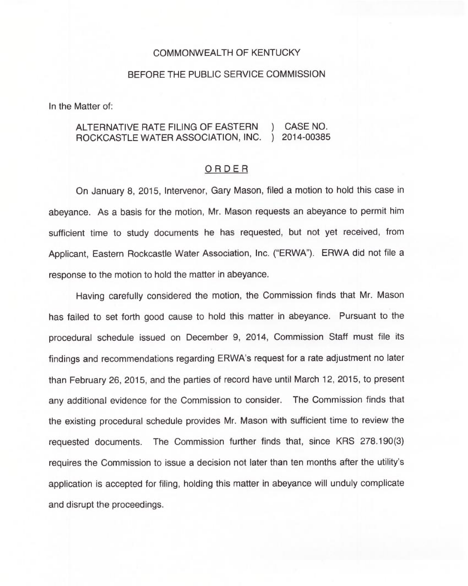## COMMONWEALTH OF KENTUCKY

## BEFORE THE PUBLIC SERVICE COMMISSION

In the Matter of:

## ALTERNATIVE RATE FILING OF EASTERN ) CASE NO. ROCKCASTLE WATER ASSOCIATION, INC. ) 2014-00385

## ORDER

On January 8, 2015, Intervenor, Gary Mason, filed a motion to hold this case in abeyance. As a basis for the motion, Mr. Mason requests an abeyance to permit him sufficient time to study documents he has requested, but not yet received, from Applicant, Eastern Rockcastle Water Association, Inc. ("ERWA"). ERWA did not file a response to the motion to hold the matter in abeyance.

Having carefully considered the motion, the Commission finds that Mr. Mason has failed to set forth good cause to hold this matter in abeyance. Pursuant to the procedural schedule issued on December 9, 2014, Commission Staff must file its findings and recommendations regarding ERWA's request for a rate adjustment no later than February 26, 2015, and the parties of record have until March 12, 2015, to present any additional evidence for the Commission to consider. The Commission finds that the existing procedural schedule provides Mr. Mason with sufficient time to review the requested documents. The Commission further finds that, since KRS 278.190(3) requires the Commission to issue a decision not later than ten months after the utility's application is accepted for filing, holding this matter in abeyance will unduly complicate and disrupt the proceedings.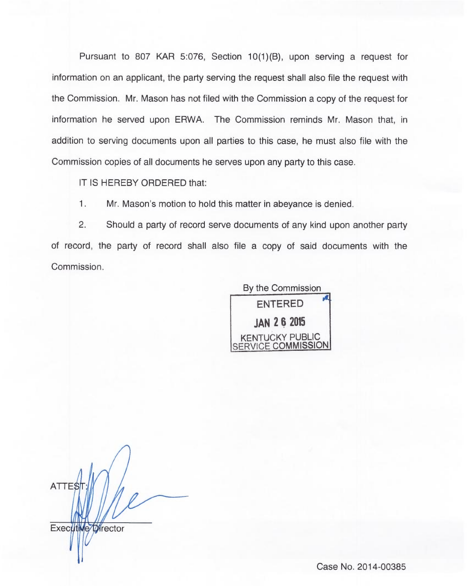Pursuant to 807 KAR 5:076, Section 10(1)(B), upon serving a request for information on an applicant, the party serving the request shall also file the request with the Commission. Mr. Mason has not filed with the Commission a copy of the request for information he served upon ERWA. The Commission reminds Mr. Mason that, in addition to serving documents upon all parties to this case, he must also file with the Commission copies of all documents he serves upon any party to this case.

IT IS HEREBY ORDERED that:

 $1.$ Mr. Mason's motion to hold this matter in abeyance is denied.

2. Should a party of record serve documents of any kind upon another party of record, the party of record shall also file a copy of said documents with the Commission.



ATTE\$ Executive Director